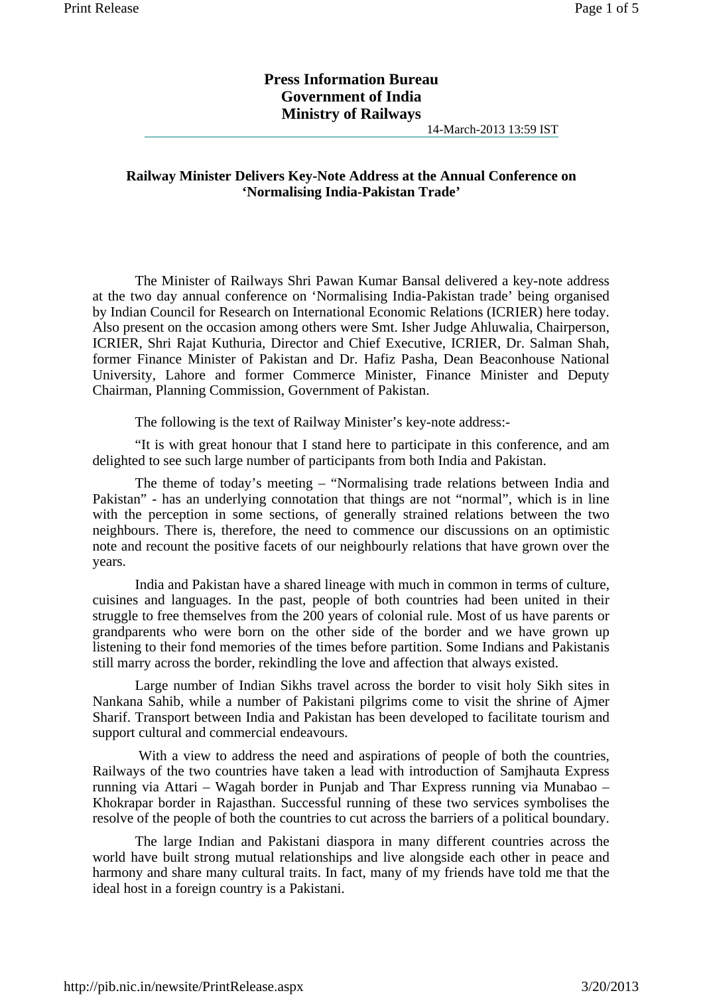## **Press Information Bureau Government of India Ministry of Railways**

14-March-2013 13:59 IST

## **Railway Minister Delivers Key-Note Address at the Annual Conference on 'Normalising India-Pakistan Trade'**

The Minister of Railways Shri Pawan Kumar Bansal delivered a key-note address at the two day annual conference on 'Normalising India-Pakistan trade' being organised by Indian Council for Research on International Economic Relations (ICRIER) here today. Also present on the occasion among others were Smt. Isher Judge Ahluwalia, Chairperson, ICRIER, Shri Rajat Kuthuria, Director and Chief Executive, ICRIER, Dr. Salman Shah, former Finance Minister of Pakistan and Dr. Hafiz Pasha, Dean Beaconhouse National University, Lahore and former Commerce Minister, Finance Minister and Deputy Chairman, Planning Commission, Government of Pakistan.

The following is the text of Railway Minister's key-note address:-

"It is with great honour that I stand here to participate in this conference, and am delighted to see such large number of participants from both India and Pakistan.

The theme of today's meeting – "Normalising trade relations between India and Pakistan" - has an underlying connotation that things are not "normal", which is in line with the perception in some sections, of generally strained relations between the two neighbours. There is, therefore, the need to commence our discussions on an optimistic note and recount the positive facets of our neighbourly relations that have grown over the years.

India and Pakistan have a shared lineage with much in common in terms of culture, cuisines and languages. In the past, people of both countries had been united in their struggle to free themselves from the 200 years of colonial rule. Most of us have parents or grandparents who were born on the other side of the border and we have grown up listening to their fond memories of the times before partition. Some Indians and Pakistanis still marry across the border, rekindling the love and affection that always existed.

Large number of Indian Sikhs travel across the border to visit holy Sikh sites in Nankana Sahib, while a number of Pakistani pilgrims come to visit the shrine of Ajmer Sharif. Transport between India and Pakistan has been developed to facilitate tourism and support cultural and commercial endeavours.

 With a view to address the need and aspirations of people of both the countries, Railways of the two countries have taken a lead with introduction of Samjhauta Express running via Attari – Wagah border in Punjab and Thar Express running via Munabao – Khokrapar border in Rajasthan. Successful running of these two services symbolises the resolve of the people of both the countries to cut across the barriers of a political boundary.

The large Indian and Pakistani diaspora in many different countries across the world have built strong mutual relationships and live alongside each other in peace and harmony and share many cultural traits. In fact, many of my friends have told me that the ideal host in a foreign country is a Pakistani.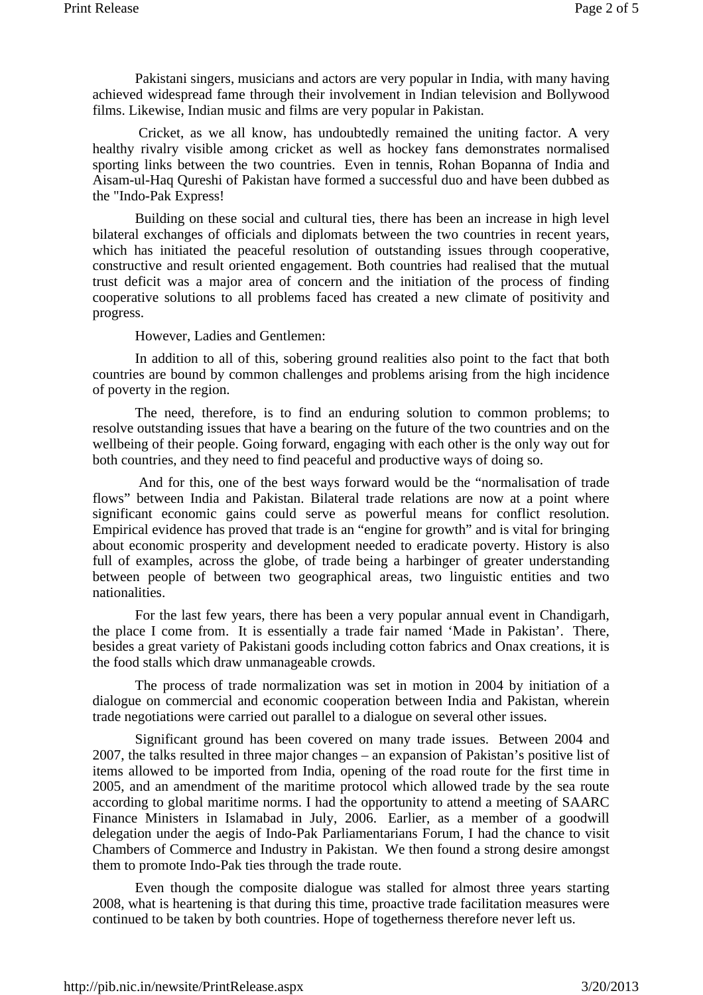Pakistani singers, musicians and actors are very popular in India, with many having achieved widespread fame through their involvement in Indian television and Bollywood films. Likewise, Indian music and films are very popular in Pakistan.

 Cricket, as we all know, has undoubtedly remained the uniting factor. A very healthy rivalry visible among cricket as well as hockey fans demonstrates normalised sporting links between the two countries. Even in tennis, Rohan Bopanna of India and Aisam-ul-Haq Qureshi of Pakistan have formed a successful duo and have been dubbed as the "Indo-Pak Express!

Building on these social and cultural ties, there has been an increase in high level bilateral exchanges of officials and diplomats between the two countries in recent years, which has initiated the peaceful resolution of outstanding issues through cooperative, constructive and result oriented engagement. Both countries had realised that the mutual trust deficit was a major area of concern and the initiation of the process of finding cooperative solutions to all problems faced has created a new climate of positivity and progress.

However, Ladies and Gentlemen:

In addition to all of this, sobering ground realities also point to the fact that both countries are bound by common challenges and problems arising from the high incidence of poverty in the region.

The need, therefore, is to find an enduring solution to common problems; to resolve outstanding issues that have a bearing on the future of the two countries and on the wellbeing of their people. Going forward, engaging with each other is the only way out for both countries, and they need to find peaceful and productive ways of doing so.

 And for this, one of the best ways forward would be the "normalisation of trade flows" between India and Pakistan. Bilateral trade relations are now at a point where significant economic gains could serve as powerful means for conflict resolution. Empirical evidence has proved that trade is an "engine for growth" and is vital for bringing about economic prosperity and development needed to eradicate poverty. History is also full of examples, across the globe, of trade being a harbinger of greater understanding between people of between two geographical areas, two linguistic entities and two nationalities.

For the last few years, there has been a very popular annual event in Chandigarh, the place I come from. It is essentially a trade fair named 'Made in Pakistan'. There, besides a great variety of Pakistani goods including cotton fabrics and Onax creations, it is the food stalls which draw unmanageable crowds.

The process of trade normalization was set in motion in 2004 by initiation of a dialogue on commercial and economic cooperation between India and Pakistan, wherein trade negotiations were carried out parallel to a dialogue on several other issues.

Significant ground has been covered on many trade issues. Between 2004 and 2007, the talks resulted in three major changes – an expansion of Pakistan's positive list of items allowed to be imported from India, opening of the road route for the first time in 2005, and an amendment of the maritime protocol which allowed trade by the sea route according to global maritime norms. I had the opportunity to attend a meeting of SAARC Finance Ministers in Islamabad in July, 2006. Earlier, as a member of a goodwill delegation under the aegis of Indo-Pak Parliamentarians Forum, I had the chance to visit Chambers of Commerce and Industry in Pakistan. We then found a strong desire amongst them to promote Indo-Pak ties through the trade route.

Even though the composite dialogue was stalled for almost three years starting 2008, what is heartening is that during this time, proactive trade facilitation measures were continued to be taken by both countries. Hope of togetherness therefore never left us.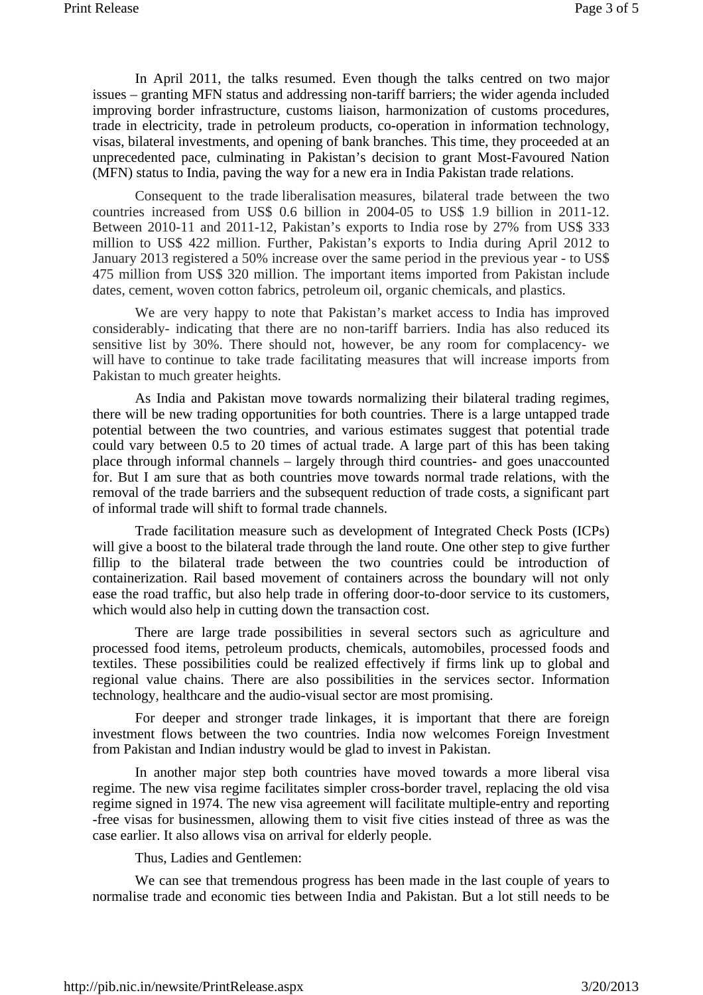In April 2011, the talks resumed. Even though the talks centred on two major issues – granting MFN status and addressing non-tariff barriers; the wider agenda included improving border infrastructure, customs liaison, harmonization of customs procedures, trade in electricity, trade in petroleum products, co-operation in information technology, visas, bilateral investments, and opening of bank branches. This time, they proceeded at an unprecedented pace, culminating in Pakistan's decision to grant Most-Favoured Nation (MFN) status to India, paving the way for a new era in India Pakistan trade relations.

Consequent to the trade liberalisation measures, bilateral trade between the two countries increased from US\$ 0.6 billion in 2004-05 to US\$ 1.9 billion in 2011-12. Between 2010-11 and 2011-12, Pakistan's exports to India rose by 27% from US\$ 333 million to US\$ 422 million. Further, Pakistan's exports to India during April 2012 to January 2013 registered a 50% increase over the same period in the previous year - to US\$ 475 million from US\$ 320 million. The important items imported from Pakistan include dates, cement, woven cotton fabrics, petroleum oil, organic chemicals, and plastics.

We are very happy to note that Pakistan's market access to India has improved considerably- indicating that there are no non-tariff barriers. India has also reduced its sensitive list by 30%. There should not, however, be any room for complacency- we will have to continue to take trade facilitating measures that will increase imports from Pakistan to much greater heights.

As India and Pakistan move towards normalizing their bilateral trading regimes, there will be new trading opportunities for both countries. There is a large untapped trade potential between the two countries, and various estimates suggest that potential trade could vary between 0.5 to 20 times of actual trade. A large part of this has been taking place through informal channels – largely through third countries- and goes unaccounted for. But I am sure that as both countries move towards normal trade relations, with the removal of the trade barriers and the subsequent reduction of trade costs, a significant part of informal trade will shift to formal trade channels.

Trade facilitation measure such as development of Integrated Check Posts (ICPs) will give a boost to the bilateral trade through the land route. One other step to give further fillip to the bilateral trade between the two countries could be introduction of containerization. Rail based movement of containers across the boundary will not only ease the road traffic, but also help trade in offering door-to-door service to its customers, which would also help in cutting down the transaction cost.

There are large trade possibilities in several sectors such as agriculture and processed food items, petroleum products, chemicals, automobiles, processed foods and textiles. These possibilities could be realized effectively if firms link up to global and regional value chains. There are also possibilities in the services sector. Information technology, healthcare and the audio-visual sector are most promising.

For deeper and stronger trade linkages, it is important that there are foreign investment flows between the two countries. India now welcomes Foreign Investment from Pakistan and Indian industry would be glad to invest in Pakistan.

In another major step both countries have moved towards a more liberal visa regime. The new visa regime facilitates simpler cross-border travel, replacing the old visa regime signed in 1974. The new visa agreement will facilitate multiple-entry and reporting -free visas for businessmen, allowing them to visit five cities instead of three as was the case earlier. It also allows visa on arrival for elderly people.

Thus, Ladies and Gentlemen:

We can see that tremendous progress has been made in the last couple of years to normalise trade and economic ties between India and Pakistan. But a lot still needs to be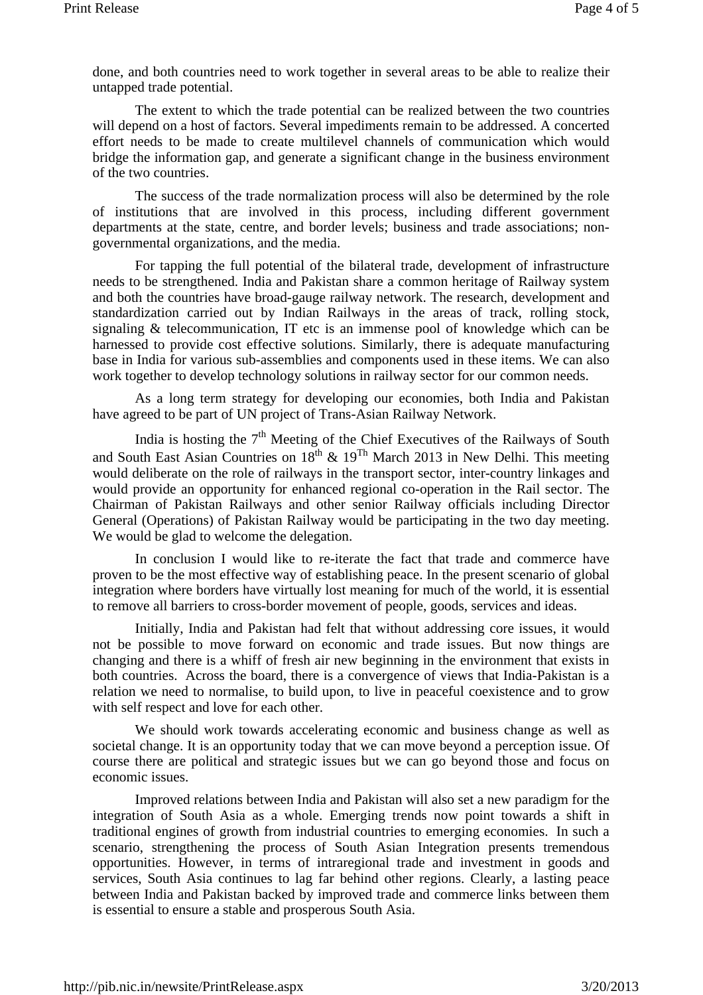done, and both countries need to work together in several areas to be able to realize their untapped trade potential.

The extent to which the trade potential can be realized between the two countries will depend on a host of factors. Several impediments remain to be addressed. A concerted effort needs to be made to create multilevel channels of communication which would bridge the information gap, and generate a significant change in the business environment of the two countries.

The success of the trade normalization process will also be determined by the role of institutions that are involved in this process, including different government departments at the state, centre, and border levels; business and trade associations; nongovernmental organizations, and the media.

For tapping the full potential of the bilateral trade, development of infrastructure needs to be strengthened. India and Pakistan share a common heritage of Railway system and both the countries have broad-gauge railway network. The research, development and standardization carried out by Indian Railways in the areas of track, rolling stock, signaling & telecommunication, IT etc is an immense pool of knowledge which can be harnessed to provide cost effective solutions. Similarly, there is adequate manufacturing base in India for various sub-assemblies and components used in these items. We can also work together to develop technology solutions in railway sector for our common needs.

As a long term strategy for developing our economies, both India and Pakistan have agreed to be part of UN project of Trans-Asian Railway Network.

India is hosting the  $7<sup>th</sup>$  Meeting of the Chief Executives of the Railways of South and South East Asian Countries on  $18^{th}$  &  $19^{Th}$  March 2013 in New Delhi. This meeting would deliberate on the role of railways in the transport sector, inter-country linkages and would provide an opportunity for enhanced regional co-operation in the Rail sector. The Chairman of Pakistan Railways and other senior Railway officials including Director General (Operations) of Pakistan Railway would be participating in the two day meeting. We would be glad to welcome the delegation.

In conclusion I would like to re-iterate the fact that trade and commerce have proven to be the most effective way of establishing peace. In the present scenario of global integration where borders have virtually lost meaning for much of the world, it is essential to remove all barriers to cross-border movement of people, goods, services and ideas.

Initially, India and Pakistan had felt that without addressing core issues, it would not be possible to move forward on economic and trade issues. But now things are changing and there is a whiff of fresh air new beginning in the environment that exists in both countries. Across the board, there is a convergence of views that India-Pakistan is a relation we need to normalise, to build upon, to live in peaceful coexistence and to grow with self respect and love for each other.

We should work towards accelerating economic and business change as well as societal change. It is an opportunity today that we can move beyond a perception issue. Of course there are political and strategic issues but we can go beyond those and focus on economic issues.

Improved relations between India and Pakistan will also set a new paradigm for the integration of South Asia as a whole. Emerging trends now point towards a shift in traditional engines of growth from industrial countries to emerging economies. In such a scenario, strengthening the process of South Asian Integration presents tremendous opportunities. However, in terms of intraregional trade and investment in goods and services, South Asia continues to lag far behind other regions. Clearly, a lasting peace between India and Pakistan backed by improved trade and commerce links between them is essential to ensure a stable and prosperous South Asia.